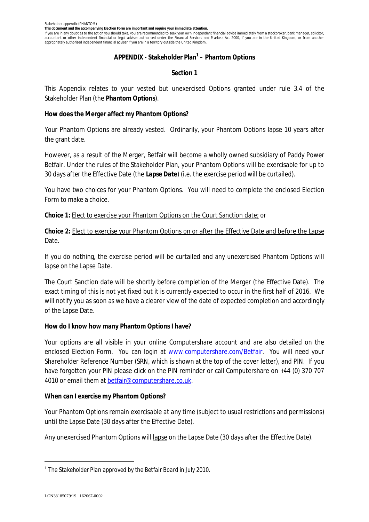**This document and the accompanying Election Form are important and require your immediate attention.**

If you are in any doubt as to the action you should take, you are recommended to seek your own independent financial advice immediately from a stockbroker, bank manager, solicitor, accountant or other independent financial or legal adviser authorised under the Financial Services and Markets Act 2000, if you are in the United Kingdom, or from another appropriately authorised independent financial adviser if you are in a territory outside the United Kingdom.

### **APPENDIX - Stakeholder Plan<sup>1</sup> – Phantom Options**

# **Section 1**

This Appendix relates to your vested but unexercised Options granted under rule 3.4 of the Stakeholder Plan (the *Phantom Options*).

**How does the Merger affect my Phantom Options?**

Your Phantom Options are already vested. Ordinarily, your Phantom Options lapse 10 years after the grant date.

However, as a result of the Merger, Betfair will become a wholly owned subsidiary of Paddy Power Betfair. Under the rules of the Stakeholder Plan, your Phantom Options will be exercisable for up to 30 days after the Effective Date (the *Lapse Date*) (i.e. the exercise period will be curtailed).

You have two choices for your Phantom Options. You will need to complete the enclosed Election Form to make a choice.

**Choice 1:** Elect to exercise your Phantom Options on the Court Sanction date; or

**Choice 2:** Elect to exercise your Phantom Options on or after the Effective Date and before the Lapse Date.

If you do nothing, the exercise period will be curtailed and any unexercised Phantom Options will lapse on the Lapse Date.

The Court Sanction date will be shortly before completion of the Merger (the Effective Date). The exact timing of this is not yet fixed but it is currently expected to occur in the first half of 2016. We will notify you as soon as we have a clearer view of the date of expected completion and accordingly of the Lapse Date.

**How do I know how many Phantom Options I have?**

Your options are all visible in your online Computershare account and are also detailed on the enclosed Election Form. You can login at www.computershare.com/Betfair. You will need your Shareholder Reference Number (SRN, which is shown at the top of the cover letter), and PIN. If you have forgotten your PIN please click on the PIN reminder or call Computershare on +44 (0) 370 707 4010 or email them at betfair@computershare.co.uk.

**When can I exercise my Phantom Options?**

Your Phantom Options remain exercisable *at any time* (subject to usual restrictions and permissions) until the Lapse Date (30 days after the Effective Date).

Any unexercised Phantom Options will lapse on the Lapse Date (30 days after the Effective Date).

<sup>1</sup> *The Stakeholder Plan approved by the Betfair Board in July 2010.*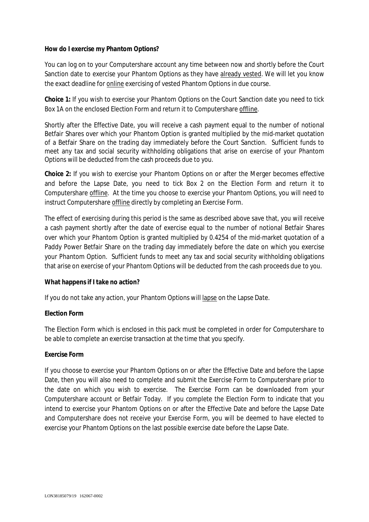**How do I exercise my Phantom Options?**

You can log on to your Computershare account any time between now and shortly before the Court Sanction date to exercise your Phantom Options as they have already vested. We will let you know the exact deadline for online exercising of vested Phantom Options in due course.

**Choice 1:** If you wish to exercise your Phantom Options on the Court Sanction date you need to tick Box 1A on the enclosed Election Form and return it to Computershare offline.

Shortly after the Effective Date, you will receive a cash payment equal to the number of notional Betfair Shares over which your Phantom Option is granted multiplied by the mid-market quotation of a Betfair Share on the trading day immediately before the Court Sanction. Sufficient funds to meet any tax and social security withholding obligations that arise on exercise of your Phantom Options will be deducted from the cash proceeds due to you.

**Choice 2:** If you wish to exercise your Phantom Options on or after the Merger becomes effective and before the Lapse Date, you need to tick Box 2 on the Election Form and return it to Computershare offline. At the time you choose to exercise your Phantom Options, you will need to instruct Computershare offline directly by completing an Exercise Form.

The effect of exercising during this period is the same as described above save that, you will receive a cash payment shortly after the date of exercise equal to the number of notional Betfair Shares over which your Phantom Option is granted multiplied by 0.4254 of the mid-market quotation of a Paddy Power Betfair Share on the trading day immediately before the date on which you exercise your Phantom Option. Sufficient funds to meet any tax and social security withholding obligations that arise on exercise of your Phantom Options will be deducted from the cash proceeds due to you.

# **What happens if I take no action?**

If you do not take any action, your Phantom Options will lapse on the Lapse Date.

# **Election Form**

The Election Form which is enclosed in this pack must be completed in order for Computershare to be able to complete an exercise transaction at the time that you specify.

### **Exercise Form**

If you choose to exercise your Phantom Options on or after the Effective Date and before the Lapse Date, then you will also need to complete and submit the Exercise Form to Computershare prior to the date on which you wish to exercise. The Exercise Form can be downloaded from your Computershare account or Betfair Today. If you complete the Election Form to indicate that you intend to exercise your Phantom Options on or after the Effective Date and before the Lapse Date and Computershare does not receive your Exercise Form, you will be deemed to have elected to exercise your Phantom Options on the last possible exercise date before the Lapse Date.